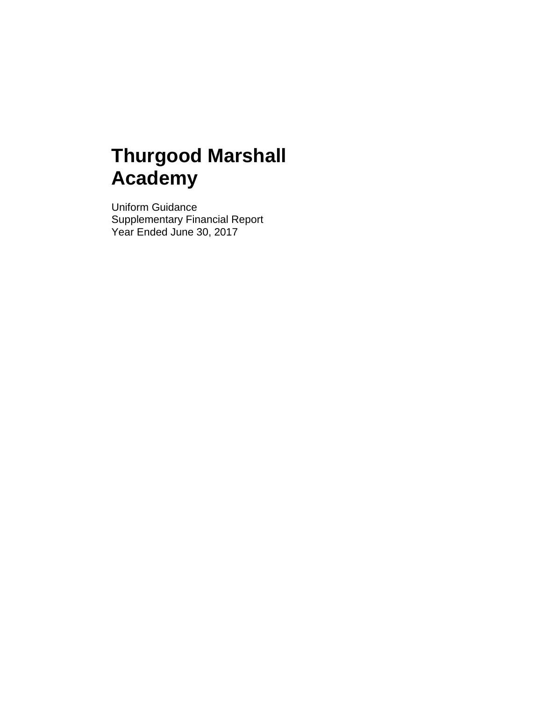Uniform Guidance Supplementary Financial Report Year Ended June 30, 2017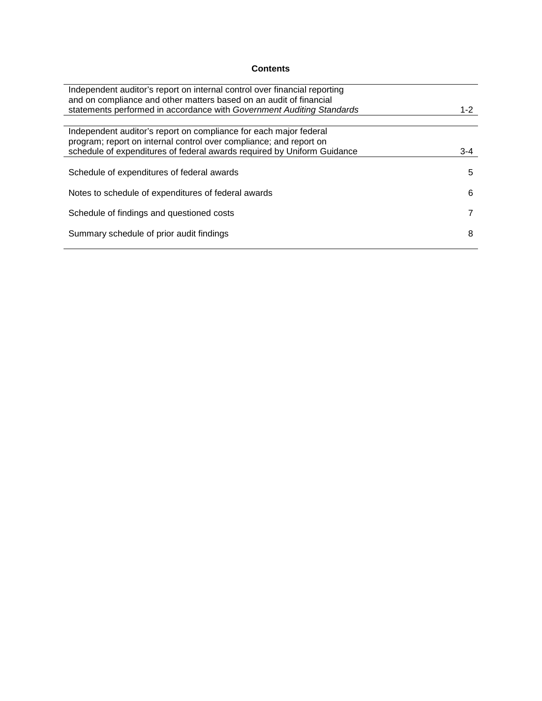# **Contents**

| Independent auditor's report on internal control over financial reporting<br>and on compliance and other matters based on an audit of financial<br>statements performed in accordance with Government Auditing Standards | $1 - 2$ |
|--------------------------------------------------------------------------------------------------------------------------------------------------------------------------------------------------------------------------|---------|
|                                                                                                                                                                                                                          |         |
| Independent auditor's report on compliance for each major federal                                                                                                                                                        |         |
| program; report on internal control over compliance; and report on                                                                                                                                                       |         |
| schedule of expenditures of federal awards required by Uniform Guidance                                                                                                                                                  | $3 - 4$ |
|                                                                                                                                                                                                                          |         |
| Schedule of expenditures of federal awards                                                                                                                                                                               | 5       |
|                                                                                                                                                                                                                          |         |
| Notes to schedule of expenditures of federal awards                                                                                                                                                                      | 6       |
| Schedule of findings and questioned costs                                                                                                                                                                                |         |
|                                                                                                                                                                                                                          |         |
| Summary schedule of prior audit findings                                                                                                                                                                                 | 8       |
|                                                                                                                                                                                                                          |         |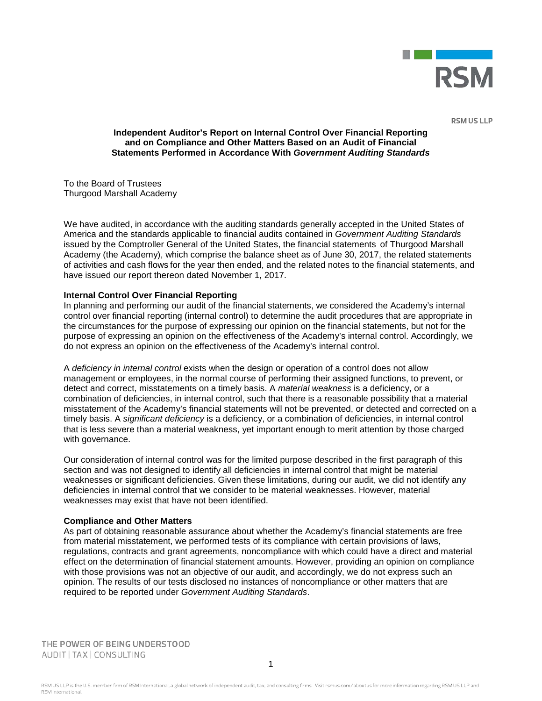

**RSM US LLP** 

## **Independent Auditor's Report on Internal Control Over Financial Reporting and on Compliance and Other Matters Based on an Audit of Financial Statements Performed in Accordance With** *Government Auditing Standards*

To the Board of Trustees Thurgood Marshall Academy

We have audited, in accordance with the auditing standards generally accepted in the United States of America and the standards applicable to financial audits contained in *Government Auditing Standards*  issued by the Comptroller General of the United States, the financial statements of Thurgood Marshall Academy (the Academy), which comprise the balance sheet as of June 30, 2017, the related statements of activities and cash flows for the year then ended, and the related notes to the financial statements, and have issued our report thereon dated November 1, 2017.

## **Internal Control Over Financial Reporting**

In planning and performing our audit of the financial statements, we considered the Academy's internal control over financial reporting (internal control) to determine the audit procedures that are appropriate in the circumstances for the purpose of expressing our opinion on the financial statements, but not for the purpose of expressing an opinion on the effectiveness of the Academy's internal control. Accordingly, we do not express an opinion on the effectiveness of the Academy's internal control.

A *deficiency in internal control* exists when the design or operation of a control does not allow management or employees, in the normal course of performing their assigned functions, to prevent, or detect and correct, misstatements on a timely basis. A *material weakness* is a deficiency, or a combination of deficiencies, in internal control, such that there is a reasonable possibility that a material misstatement of the Academy's financial statements will not be prevented, or detected and corrected on a timely basis. A *significant deficiency* is a deficiency, or a combination of deficiencies, in internal control that is less severe than a material weakness, yet important enough to merit attention by those charged with governance.

Our consideration of internal control was for the limited purpose described in the first paragraph of this section and was not designed to identify all deficiencies in internal control that might be material weaknesses or significant deficiencies. Given these limitations, during our audit, we did not identify any deficiencies in internal control that we consider to be material weaknesses. However, material weaknesses may exist that have not been identified.

#### **Compliance and Other Matters**

As part of obtaining reasonable assurance about whether the Academy's financial statements are free from material misstatement, we performed tests of its compliance with certain provisions of laws, regulations, contracts and grant agreements, noncompliance with which could have a direct and material effect on the determination of financial statement amounts. However, providing an opinion on compliance with those provisions was not an objective of our audit, and accordingly, we do not express such an opinion. The results of our tests disclosed no instances of noncompliance or other matters that are required to be reported under *Government Auditing Standards*.

THE POWER OF BEING UNDERSTOOD AUDIT | TAX | CONSULTING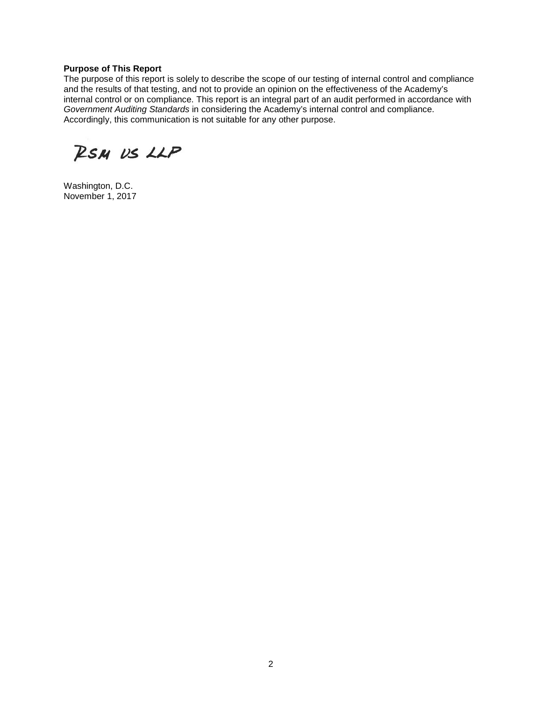## **Purpose of This Report**

The purpose of this report is solely to describe the scope of our testing of internal control and compliance and the results of that testing, and not to provide an opinion on the effectiveness of the Academy's internal control or on compliance. This report is an integral part of an audit performed in accordance with *Government Auditing Standards* in considering the Academy's internal control and compliance. Accordingly, this communication is not suitable for any other purpose.

RSM US LLP

Washington, D.C. November 1, 2017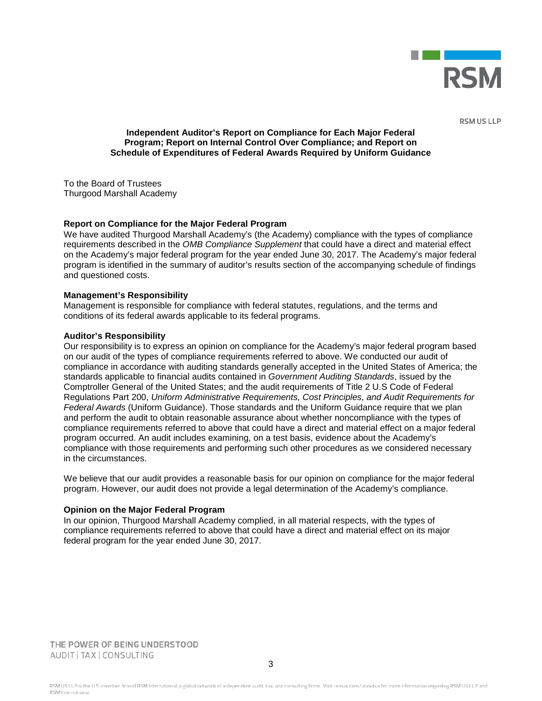

**RSM US LLP** 

## **Independent Auditor's Report on Compliance for Each Major Federal Program; Report on Internal Control Over Compliance; and Report on Schedule of Expenditures of Federal Awards Required by Uniform Guidance**

To the Board of Trustees Thurgood Marshall Academy

#### **Report on Compliance for the Major Federal Program**

We have audited Thurgood Marshall Academy's (the Academy) compliance with the types of compliance requirements described in the *OMB Compliance Supplement* that could have a direct and material effect on the Academy's major federal program for the year ended June 30, 2017. The Academy's major federal program is identified in the summary of auditor's results section of the accompanying schedule of findings and questioned costs.

#### **Management's Responsibility**

Management is responsible for compliance with federal statutes, regulations, and the terms and conditions of its federal awards applicable to its federal programs.

#### **Auditor's Responsibility**

Our responsibility is to express an opinion on compliance for the Academy's major federal program based on our audit of the types of compliance requirements referred to above. We conducted our audit of compliance in accordance with auditing standards generally accepted in the United States of America; the standards applicable to financial audits contained in *Government Auditing Standards*, issued by the Comptroller General of the United States; and the audit requirements of Title 2 U.S Code of Federal Regulations Part 200, *Uniform Administrative Requirements, Cost Principles, and Audit Requirements for Federal Awards* (Uniform Guidance). Those standards and the Uniform Guidance require that we plan and perform the audit to obtain reasonable assurance about whether noncompliance with the types of compliance requirements referred to above that could have a direct and material effect on a major federal program occurred. An audit includes examining, on a test basis, evidence about the Academy's compliance with those requirements and performing such other procedures as we considered necessary in the circumstances.

We believe that our audit provides a reasonable basis for our opinion on compliance for the major federal program. However, our audit does not provide a legal determination of the Academy's compliance.

#### **Opinion on the Major Federal Program**

In our opinion, Thurgood Marshall Academy complied, in all material respects, with the types of compliance requirements referred to above that could have a direct and material effect on its major federal program for the year ended June 30, 2017.

THE POWER OF BEING UNDERSTOOD AUDIT | TAX | CONSULTING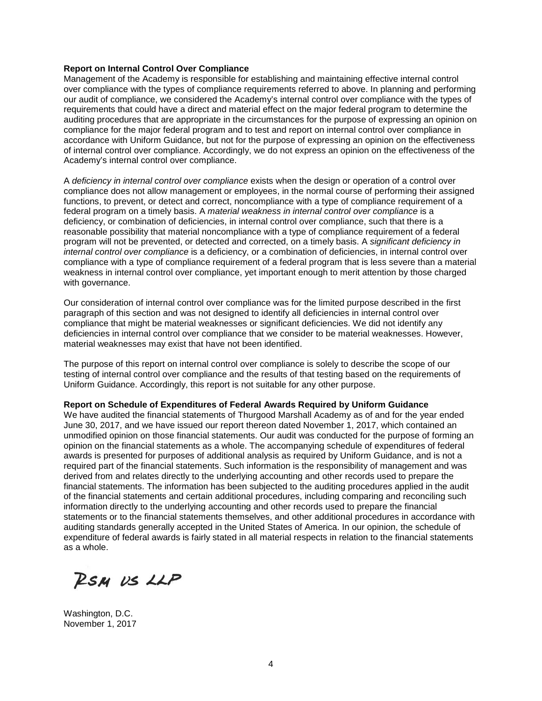#### **Report on Internal Control Over Compliance**

Management of the Academy is responsible for establishing and maintaining effective internal control over compliance with the types of compliance requirements referred to above. In planning and performing our audit of compliance, we considered the Academy's internal control over compliance with the types of requirements that could have a direct and material effect on the major federal program to determine the auditing procedures that are appropriate in the circumstances for the purpose of expressing an opinion on compliance for the major federal program and to test and report on internal control over compliance in accordance with Uniform Guidance, but not for the purpose of expressing an opinion on the effectiveness of internal control over compliance. Accordingly, we do not express an opinion on the effectiveness of the Academy's internal control over compliance.

A *deficiency in internal control over compliance* exists when the design or operation of a control over compliance does not allow management or employees, in the normal course of performing their assigned functions, to prevent, or detect and correct, noncompliance with a type of compliance requirement of a federal program on a timely basis. A *material weakness in internal control over compliance* is a deficiency, or combination of deficiencies, in internal control over compliance, such that there is a reasonable possibility that material noncompliance with a type of compliance requirement of a federal program will not be prevented, or detected and corrected, on a timely basis. A *significant deficiency in internal control over compliance* is a deficiency, or a combination of deficiencies, in internal control over compliance with a type of compliance requirement of a federal program that is less severe than a material weakness in internal control over compliance, yet important enough to merit attention by those charged with governance.

Our consideration of internal control over compliance was for the limited purpose described in the first paragraph of this section and was not designed to identify all deficiencies in internal control over compliance that might be material weaknesses or significant deficiencies. We did not identify any deficiencies in internal control over compliance that we consider to be material weaknesses. However, material weaknesses may exist that have not been identified.

The purpose of this report on internal control over compliance is solely to describe the scope of our testing of internal control over compliance and the results of that testing based on the requirements of Uniform Guidance. Accordingly, this report is not suitable for any other purpose.

#### **Report on Schedule of Expenditures of Federal Awards Required by Uniform Guidance**

We have audited the financial statements of Thurgood Marshall Academy as of and for the year ended June 30, 2017, and we have issued our report thereon dated November 1, 2017, which contained an unmodified opinion on those financial statements. Our audit was conducted for the purpose of forming an opinion on the financial statements as a whole. The accompanying schedule of expenditures of federal awards is presented for purposes of additional analysis as required by Uniform Guidance, and is not a required part of the financial statements. Such information is the responsibility of management and was derived from and relates directly to the underlying accounting and other records used to prepare the financial statements. The information has been subjected to the auditing procedures applied in the audit of the financial statements and certain additional procedures, including comparing and reconciling such information directly to the underlying accounting and other records used to prepare the financial statements or to the financial statements themselves, and other additional procedures in accordance with auditing standards generally accepted in the United States of America. In our opinion, the schedule of expenditure of federal awards is fairly stated in all material respects in relation to the financial statements as a whole.

RSM US LLP

Washington, D.C. November 1, 2017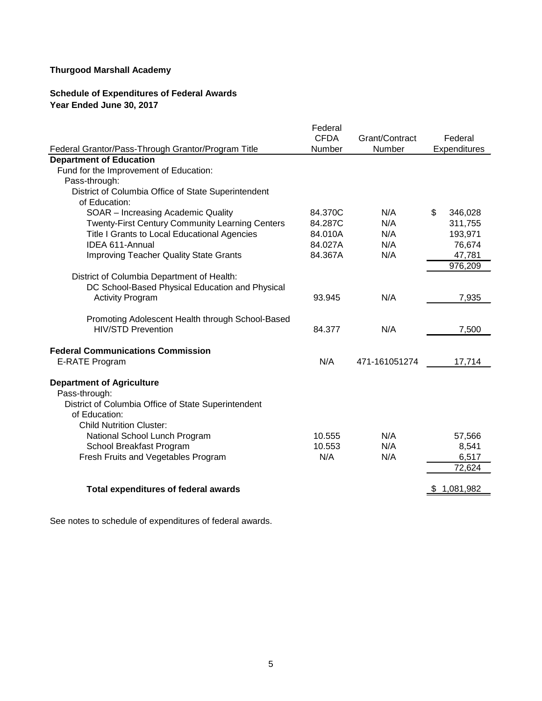# **Schedule of Expenditures of Federal Awards Year Ended June 30, 2017**

|                                                        | Federal<br><b>CFDA</b> | Grant/Contract | Federal       |
|--------------------------------------------------------|------------------------|----------------|---------------|
| Federal Grantor/Pass-Through Grantor/Program Title     | Number                 | Number         | Expenditures  |
| <b>Department of Education</b>                         |                        |                |               |
| Fund for the Improvement of Education:                 |                        |                |               |
| Pass-through:                                          |                        |                |               |
| District of Columbia Office of State Superintendent    |                        |                |               |
| of Education:                                          |                        |                |               |
| SOAR - Increasing Academic Quality                     | 84.370C                | N/A            | \$<br>346,028 |
| <b>Twenty-First Century Community Learning Centers</b> | 84.287C                | N/A            | 311,755       |
| Title I Grants to Local Educational Agencies           | 84.010A                | N/A            | 193,971       |
| <b>IDEA 611-Annual</b>                                 | 84.027A                | N/A            | 76,674        |
| <b>Improving Teacher Quality State Grants</b>          | 84.367A                | N/A            | 47,781        |
|                                                        |                        |                | 976,209       |
| District of Columbia Department of Health:             |                        |                |               |
| DC School-Based Physical Education and Physical        |                        |                |               |
| <b>Activity Program</b>                                | 93.945                 | N/A            | 7,935         |
|                                                        |                        |                |               |
| Promoting Adolescent Health through School-Based       |                        |                |               |
| <b>HIV/STD Prevention</b>                              | 84.377                 | N/A            | 7,500         |
|                                                        |                        |                |               |
| <b>Federal Communications Commission</b>               |                        |                |               |
| E-RATE Program                                         | N/A                    | 471-161051274  | 17,714        |
|                                                        |                        |                |               |
| <b>Department of Agriculture</b>                       |                        |                |               |
| Pass-through:                                          |                        |                |               |
| District of Columbia Office of State Superintendent    |                        |                |               |
| of Education:                                          |                        |                |               |
| <b>Child Nutrition Cluster:</b>                        |                        |                |               |
| National School Lunch Program                          | 10.555                 | N/A            | 57,566        |
| School Breakfast Program                               | 10.553                 | N/A            | 8,541         |
| Fresh Fruits and Vegetables Program                    | N/A                    | N/A            | 6,517         |
|                                                        |                        |                | 72,624        |
|                                                        |                        |                |               |
| <b>Total expenditures of federal awards</b>            |                        |                | 1,081,982     |
|                                                        |                        |                |               |

See notes to schedule of expenditures of federal awards.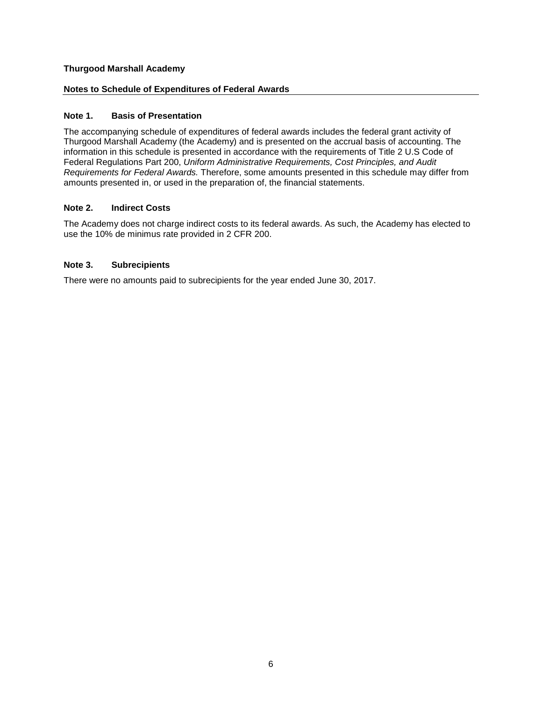# **Notes to Schedule of Expenditures of Federal Awards**

# **Note 1. Basis of Presentation**

The accompanying schedule of expenditures of federal awards includes the federal grant activity of Thurgood Marshall Academy (the Academy) and is presented on the accrual basis of accounting. The information in this schedule is presented in accordance with the requirements of Title 2 U.S Code of Federal Regulations Part 200, *Uniform Administrative Requirements, Cost Principles, and Audit Requirements for Federal Awards.* Therefore, some amounts presented in this schedule may differ from amounts presented in, or used in the preparation of, the financial statements.

# **Note 2. Indirect Costs**

The Academy does not charge indirect costs to its federal awards. As such, the Academy has elected to use the 10% de minimus rate provided in 2 CFR 200.

# **Note 3. Subrecipients**

There were no amounts paid to subrecipients for the year ended June 30, 2017.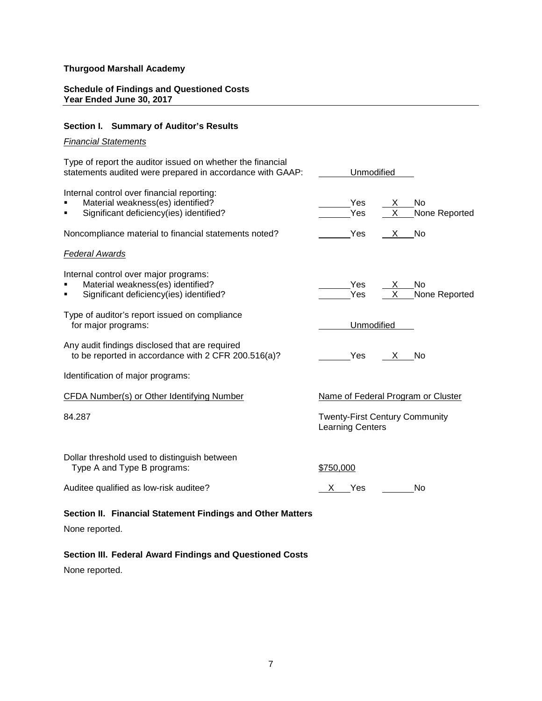## **Schedule of Findings and Questioned Costs Year Ended June 30, 2017**

# **Section I. Summary of Auditor's Results**

# *Financial Statements*

| Type of report the auditor issued on whether the financial<br>statements audited were prepared in accordance with GAAP:    | Unmodified                                                       |
|----------------------------------------------------------------------------------------------------------------------------|------------------------------------------------------------------|
| Internal control over financial reporting:<br>Material weakness(es) identified?<br>Significant deficiency(ies) identified? | No<br>Yes<br>X<br>Χ<br>Yes<br>None Reported                      |
| Noncompliance material to financial statements noted?                                                                      | No<br>Yes<br>X.                                                  |
| <b>Federal Awards</b>                                                                                                      |                                                                  |
| Internal control over major programs:<br>Material weakness(es) identified?<br>Significant deficiency(ies) identified?<br>٠ | Yes<br>No<br>X<br>X<br>Yes<br>None Reported                      |
| Type of auditor's report issued on compliance<br>for major programs:                                                       | Unmodified                                                       |
| Any audit findings disclosed that are required<br>to be reported in accordance with 2 CFR 200.516(a)?                      | Yes<br>No<br>X                                                   |
| Identification of major programs:                                                                                          |                                                                  |
| CFDA Number(s) or Other Identifying Number                                                                                 | Name of Federal Program or Cluster                               |
| 84.287                                                                                                                     | <b>Twenty-First Century Community</b><br><b>Learning Centers</b> |
| Dollar threshold used to distinguish between<br>Type A and Type B programs:                                                | \$750,000                                                        |
| Auditee qualified as low-risk auditee?                                                                                     | No<br>Yes<br>X                                                   |
| Section II. Financial Statement Findings and Other Matters                                                                 |                                                                  |
|                                                                                                                            |                                                                  |

None reported.

# **Section III. Federal Award Findings and Questioned Costs**

None reported.